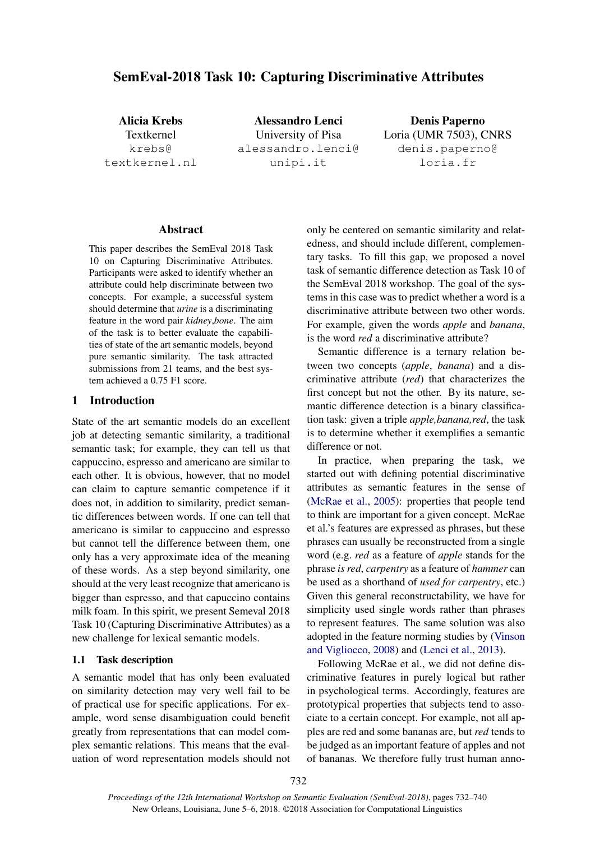# SemEval-2018 Task 10: Capturing Discriminative Attributes

Alicia Krebs Textkernel krebs@ textkernel.nl

Alessandro Lenci University of Pisa alessandro.lenci@ unipi.it

Denis Paperno Loria (UMR 7503), CNRS denis.paperno@ loria.fr

#### Abstract

This paper describes the SemEval 2018 Task 10 on Capturing Discriminative Attributes. Participants were asked to identify whether an attribute could help discriminate between two concepts. For example, a successful system should determine that *urine* is a discriminating feature in the word pair *kidney*,*bone*. The aim of the task is to better evaluate the capabilities of state of the art semantic models, beyond pure semantic similarity. The task attracted submissions from 21 teams, and the best system achieved a 0.75 F1 score.

#### 1 Introduction

State of the art semantic models do an excellent job at detecting semantic similarity, a traditional semantic task; for example, they can tell us that cappuccino, espresso and americano are similar to each other. It is obvious, however, that no model can claim to capture semantic competence if it does not, in addition to similarity, predict semantic differences between words. If one can tell that americano is similar to cappuccino and espresso but cannot tell the difference between them, one only has a very approximate idea of the meaning of these words. As a step beyond similarity, one should at the very least recognize that americano is bigger than espresso, and that capuccino contains milk foam. In this spirit, we present Semeval 2018 Task 10 (Capturing Discriminative Attributes) as a new challenge for lexical semantic models.

## 1.1 Task description

A semantic model that has only been evaluated on similarity detection may very well fail to be of practical use for specific applications. For example, word sense disambiguation could benefit greatly from representations that can model complex semantic relations. This means that the evaluation of word representation models should not

only be centered on semantic similarity and relatedness, and should include different, complementary tasks. To fill this gap, we proposed a novel task of semantic difference detection as Task 10 of the SemEval 2018 workshop. The goal of the systems in this case was to predict whether a word is a discriminative attribute between two other words. For example, given the words *apple* and *banana*, is the word *red* a discriminative attribute?

Semantic difference is a ternary relation between two concepts (*apple*, *banana*) and a discriminative attribute (*red*) that characterizes the first concept but not the other. By its nature, semantic difference detection is a binary classification task: given a triple *apple,banana,red*, the task is to determine whether it exemplifies a semantic difference or not.

In practice, when preparing the task, we started out with defining potential discriminative attributes as semantic features in the sense of (McRae et al., 2005): properties that people tend to think are important for a given concept. McRae et al.'s features are expressed as phrases, but these phrases can usually be reconstructed from a single word (e.g. *red* as a feature of *apple* stands for the phrase *is red*, *carpentry* as a feature of *hammer* can be used as a shorthand of *used for carpentry*, etc.) Given this general reconstructability, we have for simplicity used single words rather than phrases to represent features. The same solution was also adopted in the feature norming studies by (Vinson and Vigliocco, 2008) and (Lenci et al., 2013).

Following McRae et al., we did not define discriminative features in purely logical but rather in psychological terms. Accordingly, features are prototypical properties that subjects tend to associate to a certain concept. For example, not all apples are red and some bananas are, but *red* tends to be judged as an important feature of apples and not of bananas. We therefore fully trust human anno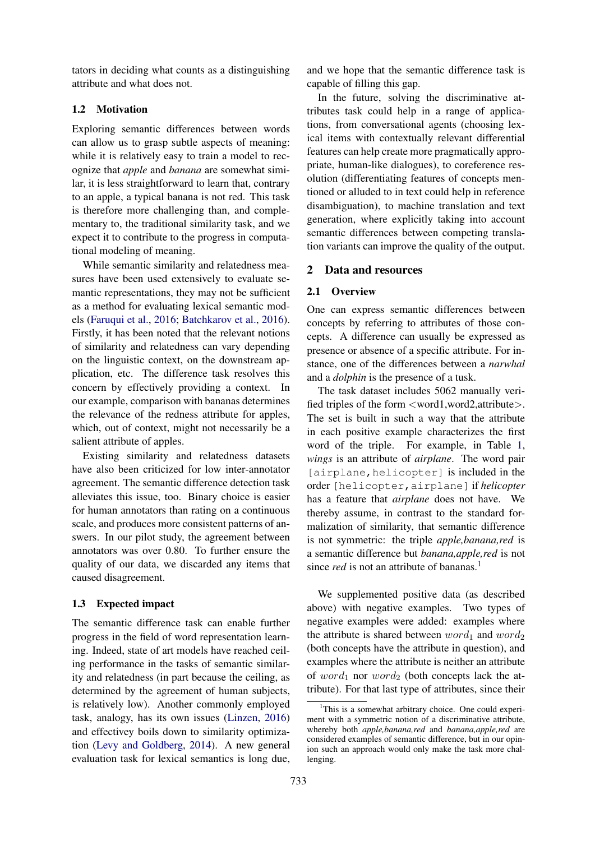tators in deciding what counts as a distinguishing attribute and what does not.

## 1.2 Motivation

Exploring semantic differences between words can allow us to grasp subtle aspects of meaning: while it is relatively easy to train a model to recognize that *apple* and *banana* are somewhat similar, it is less straightforward to learn that, contrary to an apple, a typical banana is not red. This task is therefore more challenging than, and complementary to, the traditional similarity task, and we expect it to contribute to the progress in computational modeling of meaning.

While semantic similarity and relatedness measures have been used extensively to evaluate semantic representations, they may not be sufficient as a method for evaluating lexical semantic models (Faruqui et al., 2016; Batchkarov et al., 2016). Firstly, it has been noted that the relevant notions of similarity and relatedness can vary depending on the linguistic context, on the downstream application, etc. The difference task resolves this concern by effectively providing a context. In our example, comparison with bananas determines the relevance of the redness attribute for apples, which, out of context, might not necessarily be a salient attribute of apples.

Existing similarity and relatedness datasets have also been criticized for low inter-annotator agreement. The semantic difference detection task alleviates this issue, too. Binary choice is easier for human annotators than rating on a continuous scale, and produces more consistent patterns of answers. In our pilot study, the agreement between annotators was over 0.80. To further ensure the quality of our data, we discarded any items that caused disagreement.

#### 1.3 Expected impact

The semantic difference task can enable further progress in the field of word representation learning. Indeed, state of art models have reached ceiling performance in the tasks of semantic similarity and relatedness (in part because the ceiling, as determined by the agreement of human subjects, is relatively low). Another commonly employed task, analogy, has its own issues (Linzen, 2016) and effectivey boils down to similarity optimization (Levy and Goldberg, 2014). A new general evaluation task for lexical semantics is long due,

and we hope that the semantic difference task is capable of filling this gap.

In the future, solving the discriminative attributes task could help in a range of applications, from conversational agents (choosing lexical items with contextually relevant differential features can help create more pragmatically appropriate, human-like dialogues), to coreference resolution (differentiating features of concepts mentioned or alluded to in text could help in reference disambiguation), to machine translation and text generation, where explicitly taking into account semantic differences between competing translation variants can improve the quality of the output.

#### 2 Data and resources

#### 2.1 Overview

One can express semantic differences between concepts by referring to attributes of those concepts. A difference can usually be expressed as presence or absence of a specific attribute. For instance, one of the differences between a *narwhal* and a *dolphin* is the presence of a tusk.

The task dataset includes 5062 manually verified triples of the form <word1,word2,attribute>. The set is built in such a way that the attribute in each positive example characterizes the first word of the triple. For example, in Table 1, *wings* is an attribute of *airplane*. The word pair [airplane, helicopter] is included in the order [helicopter,airplane] if *helicopter* has a feature that *airplane* does not have. We thereby assume, in contrast to the standard formalization of similarity, that semantic difference is not symmetric: the triple *apple,banana,red* is a semantic difference but *banana,apple,red* is not since *red* is not an attribute of bananas.<sup>1</sup>

We supplemented positive data (as described above) with negative examples. Two types of negative examples were added: examples where the attribute is shared between  $word_1$  and  $word_2$ (both concepts have the attribute in question), and examples where the attribute is neither an attribute of word<sub>1</sub> nor word<sub>2</sub> (both concepts lack the attribute). For that last type of attributes, since their

 $1$ This is a somewhat arbitrary choice. One could experiment with a symmetric notion of a discriminative attribute, whereby both *apple,banana,red* and *banana,apple,red* are considered examples of semantic difference, but in our opinion such an approach would only make the task more challenging.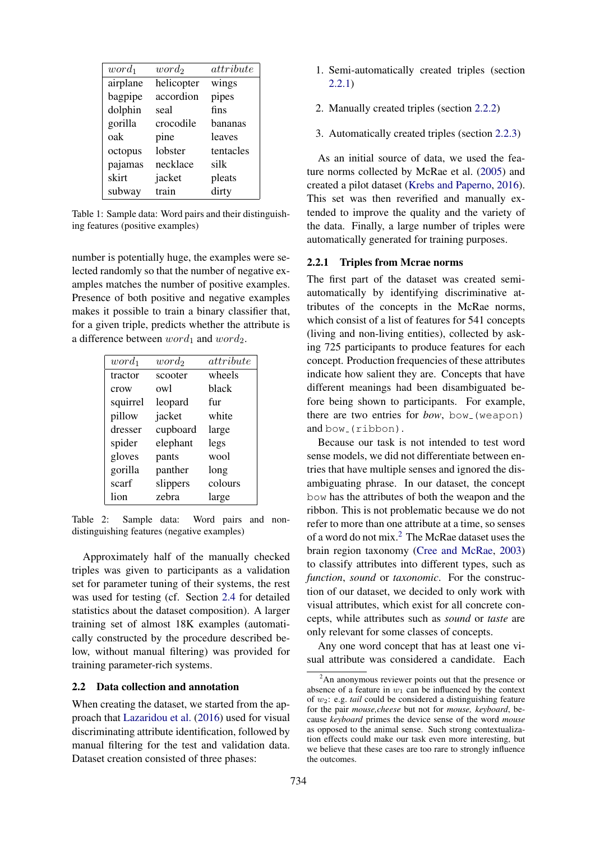| $word_1$ | $word_2$   | attribute |
|----------|------------|-----------|
| airplane | helicopter | wings     |
| bagpipe  | accordion  | pipes     |
| dolphin  | seal       | fins      |
| gorilla  | crocodile  | bananas   |
| oak      | pine       | leaves    |
| octopus  | lobster    | tentacles |
| pajamas  | necklace   | silk      |
| skirt    | jacket     | pleats    |
| subway   | train      | dirty     |

Table 1: Sample data: Word pairs and their distinguishing features (positive examples)

number is potentially huge, the examples were selected randomly so that the number of negative examples matches the number of positive examples. Presence of both positive and negative examples makes it possible to train a binary classifier that, for a given triple, predicts whether the attribute is a difference between  $word_1$  and  $word_2$ .

| $word_1$ | $word_2$ | attribute |
|----------|----------|-----------|
| tractor  | scooter  | wheels    |
| crow     | owl      | black     |
| squirrel | leopard  | fur       |
| pillow   | jacket   | white     |
| dresser  | cupboard | large     |
| spider   | elephant | legs      |
| gloves   | pants    | wool      |
| gorilla  | panther  | long      |
| scarf    | slippers | colours   |
| lion     | zebra    | large     |

Table 2: Sample data: Word pairs and nondistinguishing features (negative examples)

Approximately half of the manually checked triples was given to participants as a validation set for parameter tuning of their systems, the rest was used for testing (cf. Section 2.4 for detailed statistics about the dataset composition). A larger training set of almost 18K examples (automatically constructed by the procedure described below, without manual filtering) was provided for training parameter-rich systems.

### 2.2 Data collection and annotation

When creating the dataset, we started from the approach that Lazaridou et al. (2016) used for visual discriminating attribute identification, followed by manual filtering for the test and validation data. Dataset creation consisted of three phases:

- 1. Semi-automatically created triples (section 2.2.1)
- 2. Manually created triples (section 2.2.2)
- 3. Automatically created triples (section 2.2.3)

As an initial source of data, we used the feature norms collected by McRae et al. (2005) and created a pilot dataset (Krebs and Paperno, 2016). This set was then reverified and manually extended to improve the quality and the variety of the data. Finally, a large number of triples were automatically generated for training purposes.

### 2.2.1 Triples from Mcrae norms

The first part of the dataset was created semiautomatically by identifying discriminative attributes of the concepts in the McRae norms, which consist of a list of features for 541 concepts (living and non-living entities), collected by asking 725 participants to produce features for each concept. Production frequencies of these attributes indicate how salient they are. Concepts that have different meanings had been disambiguated before being shown to participants. For example, there are two entries for *bow*, bow (weapon) and bow<sub>-</sub>(ribbon).

Because our task is not intended to test word sense models, we did not differentiate between entries that have multiple senses and ignored the disambiguating phrase. In our dataset, the concept bow has the attributes of both the weapon and the ribbon. This is not problematic because we do not refer to more than one attribute at a time, so senses of a word do not mix.<sup>2</sup> The McRae dataset uses the brain region taxonomy (Cree and McRae, 2003) to classify attributes into different types, such as *function*, *sound* or *taxonomic*. For the construction of our dataset, we decided to only work with visual attributes, which exist for all concrete concepts, while attributes such as *sound* or *taste* are only relevant for some classes of concepts.

Any one word concept that has at least one visual attribute was considered a candidate. Each

 $2<sup>2</sup>$ An anonymous reviewer points out that the presence or absence of a feature in  $w_1$  can be influenced by the context of w2: e.g. *tail* could be considered a distinguishing feature for the pair *mouse,cheese* but not for *mouse, keyboard*, because *keyboard* primes the device sense of the word *mouse* as opposed to the animal sense. Such strong contextualization effects could make our task even more interesting, but we believe that these cases are too rare to strongly influence the outcomes.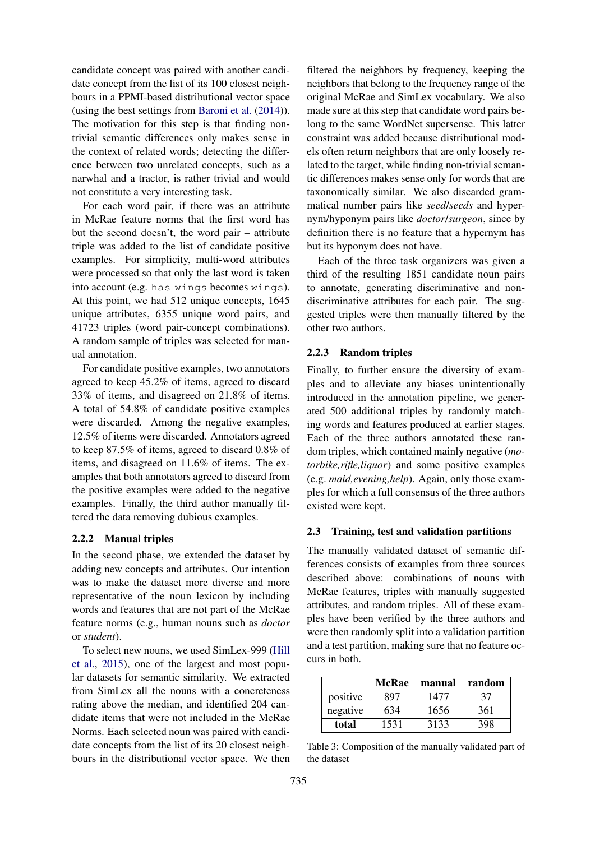candidate concept was paired with another candidate concept from the list of its 100 closest neighbours in a PPMI-based distributional vector space (using the best settings from Baroni et al. (2014)). The motivation for this step is that finding nontrivial semantic differences only makes sense in the context of related words; detecting the difference between two unrelated concepts, such as a narwhal and a tractor, is rather trivial and would not constitute a very interesting task.

For each word pair, if there was an attribute in McRae feature norms that the first word has but the second doesn't, the word pair – attribute triple was added to the list of candidate positive examples. For simplicity, multi-word attributes were processed so that only the last word is taken into account (e.g. has wings becomes wings). At this point, we had 512 unique concepts, 1645 unique attributes, 6355 unique word pairs, and 41723 triples (word pair-concept combinations). A random sample of triples was selected for manual annotation.

For candidate positive examples, two annotators agreed to keep 45.2% of items, agreed to discard 33% of items, and disagreed on 21.8% of items. A total of 54.8% of candidate positive examples were discarded. Among the negative examples, 12.5% of items were discarded. Annotators agreed to keep 87.5% of items, agreed to discard 0.8% of items, and disagreed on 11.6% of items. The examples that both annotators agreed to discard from the positive examples were added to the negative examples. Finally, the third author manually filtered the data removing dubious examples.

#### 2.2.2 Manual triples

In the second phase, we extended the dataset by adding new concepts and attributes. Our intention was to make the dataset more diverse and more representative of the noun lexicon by including words and features that are not part of the McRae feature norms (e.g., human nouns such as *doctor* or *student*).

To select new nouns, we used SimLex-999 (Hill et al., 2015), one of the largest and most popular datasets for semantic similarity. We extracted from SimLex all the nouns with a concreteness rating above the median, and identified 204 candidate items that were not included in the McRae Norms. Each selected noun was paired with candidate concepts from the list of its 20 closest neighbours in the distributional vector space. We then

filtered the neighbors by frequency, keeping the neighbors that belong to the frequency range of the original McRae and SimLex vocabulary. We also made sure at this step that candidate word pairs belong to the same WordNet supersense. This latter constraint was added because distributional models often return neighbors that are only loosely related to the target, while finding non-trivial semantic differences makes sense only for words that are taxonomically similar. We also discarded grammatical number pairs like *seed*/*seeds* and hypernym/hyponym pairs like *doctor*/*surgeon*, since by definition there is no feature that a hypernym has but its hyponym does not have.

Each of the three task organizers was given a third of the resulting 1851 candidate noun pairs to annotate, generating discriminative and nondiscriminative attributes for each pair. The suggested triples were then manually filtered by the other two authors.

### 2.2.3 Random triples

Finally, to further ensure the diversity of examples and to alleviate any biases unintentionally introduced in the annotation pipeline, we generated 500 additional triples by randomly matching words and features produced at earlier stages. Each of the three authors annotated these random triples, which contained mainly negative (*motorbike,rifle,liquor*) and some positive examples (e.g. *maid,evening,help*). Again, only those examples for which a full consensus of the three authors existed were kept.

### 2.3 Training, test and validation partitions

The manually validated dataset of semantic differences consists of examples from three sources described above: combinations of nouns with McRae features, triples with manually suggested attributes, and random triples. All of these examples have been verified by the three authors and were then randomly split into a validation partition and a test partition, making sure that no feature occurs in both.

|          | <b>McRae</b> | manual | random |
|----------|--------------|--------|--------|
| positive | 897          | 1477   | 37     |
| negative | 634          | 1656   | 361    |
| total    | 1531         | 3133   | 398    |

Table 3: Composition of the manually validated part of the dataset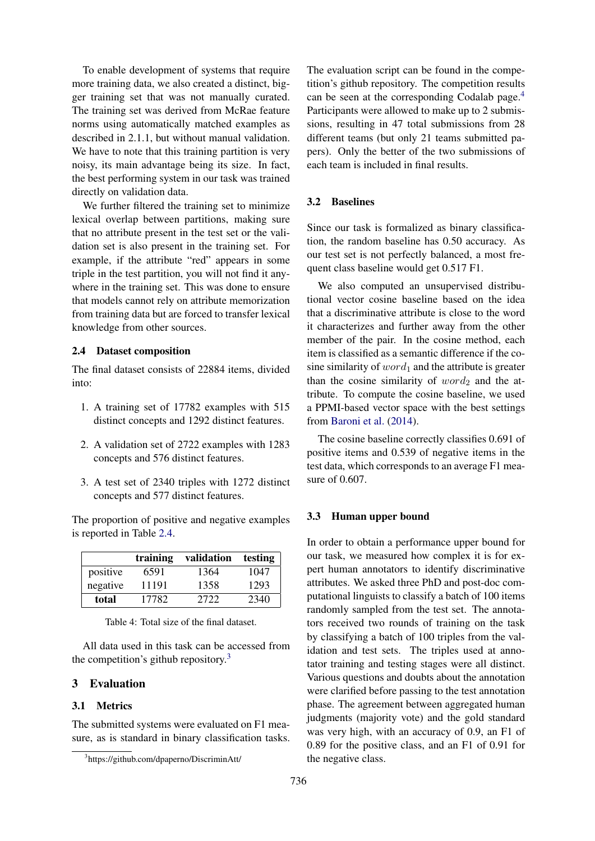To enable development of systems that require more training data, we also created a distinct, bigger training set that was not manually curated. The training set was derived from McRae feature norms using automatically matched examples as described in 2.1.1, but without manual validation. We have to note that this training partition is very noisy, its main advantage being its size. In fact, the best performing system in our task was trained directly on validation data.

We further filtered the training set to minimize lexical overlap between partitions, making sure that no attribute present in the test set or the validation set is also present in the training set. For example, if the attribute "red" appears in some triple in the test partition, you will not find it anywhere in the training set. This was done to ensure that models cannot rely on attribute memorization from training data but are forced to transfer lexical knowledge from other sources.

## 2.4 Dataset composition

The final dataset consists of 22884 items, divided into:

- 1. A training set of 17782 examples with 515 distinct concepts and 1292 distinct features.
- 2. A validation set of 2722 examples with 1283 concepts and 576 distinct features.
- 3. A test set of 2340 triples with 1272 distinct concepts and 577 distinct features.

The proportion of positive and negative examples is reported in Table 2.4.

|          | training | validation | testing |
|----------|----------|------------|---------|
| positive | 6591     | 1364       | 1047    |
| negative | 11191    | 1358       | 1293    |
| total    | 17782    | 2722       | 2340    |

Table 4: Total size of the final dataset.

All data used in this task can be accessed from the competition's github repository. $3$ 

# 3 Evaluation

#### 3.1 Metrics

The submitted systems were evaluated on F1 measure, as is standard in binary classification tasks. The evaluation script can be found in the competition's github repository. The competition results can be seen at the corresponding Codalab page.<sup>4</sup> Participants were allowed to make up to 2 submissions, resulting in 47 total submissions from 28 different teams (but only 21 teams submitted papers). Only the better of the two submissions of each team is included in final results.

### 3.2 Baselines

Since our task is formalized as binary classification, the random baseline has 0.50 accuracy. As our test set is not perfectly balanced, a most frequent class baseline would get 0.517 F1.

We also computed an unsupervised distributional vector cosine baseline based on the idea that a discriminative attribute is close to the word it characterizes and further away from the other member of the pair. In the cosine method, each item is classified as a semantic difference if the cosine similarity of  $word_1$  and the attribute is greater than the cosine similarity of  $word_2$  and the attribute. To compute the cosine baseline, we used a PPMI-based vector space with the best settings from Baroni et al. (2014).

The cosine baseline correctly classifies 0.691 of positive items and 0.539 of negative items in the test data, which corresponds to an average F1 measure of 0.607.

#### 3.3 Human upper bound

In order to obtain a performance upper bound for our task, we measured how complex it is for expert human annotators to identify discriminative attributes. We asked three PhD and post-doc computational linguists to classify a batch of 100 items randomly sampled from the test set. The annotators received two rounds of training on the task by classifying a batch of 100 triples from the validation and test sets. The triples used at annotator training and testing stages were all distinct. Various questions and doubts about the annotation were clarified before passing to the test annotation phase. The agreement between aggregated human judgments (majority vote) and the gold standard was very high, with an accuracy of 0.9, an F1 of 0.89 for the positive class, and an F1 of 0.91 for the negative class.

<sup>3</sup> https://github.com/dpaperno/DiscriminAtt/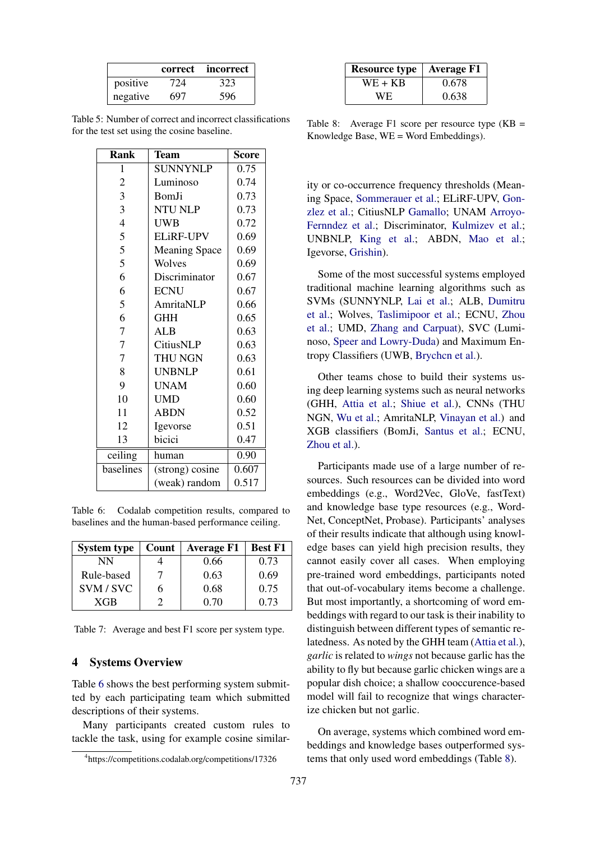|          | correct | incorrect |
|----------|---------|-----------|
| positive | 724     | 323       |
| negative | 697     | 596       |

Table 5: Number of correct and incorrect classifications for the test set using the cosine baseline.

| <b>Rank</b>    | <b>Team</b>          | Score |
|----------------|----------------------|-------|
| $\mathbf{1}$   | <b>SUNNYNLP</b>      | 0.75  |
| $\overline{c}$ | Luminoso             | 0.74  |
| 3              | BomJi                | 0.73  |
| 3              | <b>NTU NLP</b>       | 0.73  |
| $\overline{4}$ | UWB                  | 0.72  |
| 5              | <b>ELiRF-UPV</b>     | 0.69  |
| 5              | <b>Meaning Space</b> | 0.69  |
| 5              | Wolves               | 0.69  |
| 6              | Discriminator        | 0.67  |
| 6              | <b>ECNU</b>          | 0.67  |
| 5              | AmritaNLP            | 0.66  |
| 6              | <b>GHH</b>           | 0.65  |
| $\overline{7}$ | <b>ALB</b>           | 0.63  |
| $\overline{7}$ | CitiusNLP            | 0.63  |
| $\overline{7}$ | THU NGN              | 0.63  |
| 8              | <b>UNBNLP</b>        | 0.61  |
| 9              | <b>UNAM</b>          | 0.60  |
| 10             | <b>UMD</b>           | 0.60  |
| 11             | <b>ABDN</b>          | 0.52  |
| 12             | Igevorse             | 0.51  |
| 13             | bicici               | 0.47  |
| ceiling        | human                | 0.90  |
| baselines      | (strong) cosine      | 0.607 |
|                | (weak) random        | 0.517 |

Table 6: Codalab competition results, compared to baselines and the human-based performance ceiling.

| <b>System type</b> | Count | <b>Average F1</b> | <b>Best F1</b> |
|--------------------|-------|-------------------|----------------|
| NN                 |       | 0.66              | 0.73           |
| Rule-based         |       | 0.63              | 0.69           |
| SVM/SVC            | h     | 0.68              | 0.75           |
| <b>XGB</b>         |       | 0.70              | 0.73           |

Table 7: Average and best F1 score per system type.

## 4 Systems Overview

Table 6 shows the best performing system submitted by each participating team which submitted descriptions of their systems.

Many participants created custom rules to tackle the task, using for example cosine similarthat out-of-vocabulary items become a challenge. But most importantly, a shortcoming of word embeddings with regard to our task is their inability to distinguish between different types of semantic relatedness. As noted by the GHH team (Attia et al.), *garlic* is related to *wings* not because garlic has the ability to fly but because garlic chicken wings are a popular dish choice; a shallow cooccurence-based model will fail to recognize that wings character-

On average, systems which combined word embeddings and knowledge bases outperformed systems that only used word embeddings (Table 8).

ize chicken but not garlic.

| <b>Resource type</b> | $\vert$ Average F1 |
|----------------------|--------------------|
| WE + KB              | 0.678              |
| WE.                  | 0.638              |

Table 8: Average F1 score per resource type (KB = Knowledge Base, WE = Word Embeddings).

ity or co-occurrence frequency thresholds (Meaning Space, Sommerauer et al.; ELiRF-UPV, Gonzlez et al.; CitiusNLP Gamallo; UNAM Arroyo-Fernndez et al.; Discriminator, Kulmizev et al.; UNBNLP, King et al.; ABDN, Mao et al.; Igevorse, Grishin).

Some of the most successful systems employed traditional machine learning algorithms such as SVMs (SUNNYNLP, Lai et al.; ALB, Dumitru et al.; Wolves, Taslimipoor et al.; ECNU, Zhou et al.; UMD, Zhang and Carpuat), SVC (Luminoso, Speer and Lowry-Duda) and Maximum Entropy Classifiers (UWB, Brychcn et al.).

Other teams chose to build their systems using deep learning systems such as neural networks (GHH, Attia et al.; Shiue et al.), CNNs (THU NGN, Wu et al.; AmritaNLP, Vinayan et al.) and XGB classifiers (BomJi, Santus et al.; ECNU, Zhou et al.).

Participants made use of a large number of resources. Such resources can be divided into word embeddings (e.g., Word2Vec, GloVe, fastText) and knowledge base type resources (e.g., Word-Net, ConceptNet, Probase). Participants' analyses of their results indicate that although using knowledge bases can yield high precision results, they cannot easily cover all cases. When employing pre-trained word embeddings, participants noted

737

<sup>4</sup> https://competitions.codalab.org/competitions/17326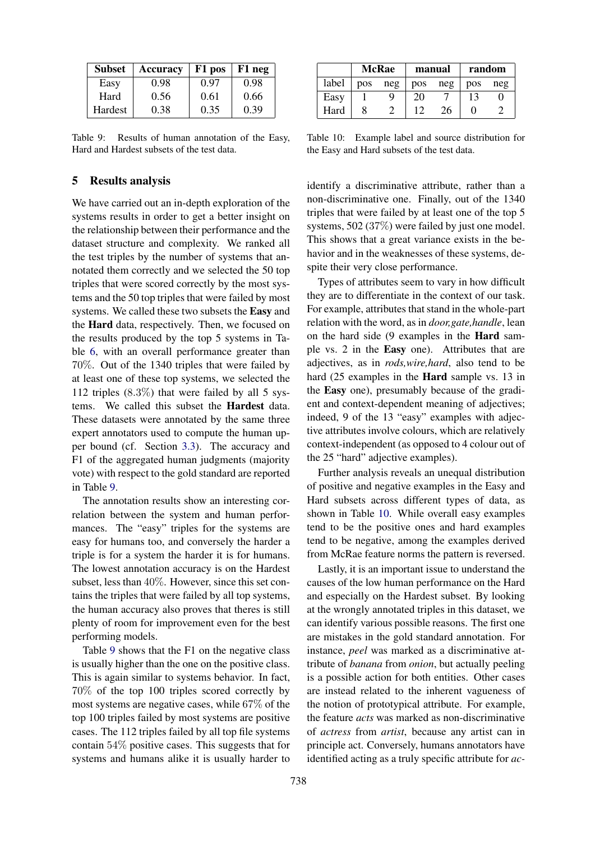| <b>Subset</b> | <b>Accuracy</b> | F1 pos | F1 neg |
|---------------|-----------------|--------|--------|
| Easy          | 0.98            | 0.97   | 0.98   |
| Hard          | 0.56            | 0.61   | 0.66   |
| Hardest       | 0.38            | 0.35   | 0.39   |

Table 9: Results of human annotation of the Easy, Hard and Hardest subsets of the test data.

## 5 Results analysis

We have carried out an in-depth exploration of the systems results in order to get a better insight on the relationship between their performance and the dataset structure and complexity. We ranked all the test triples by the number of systems that annotated them correctly and we selected the 50 top triples that were scored correctly by the most systems and the 50 top triples that were failed by most systems. We called these two subsets the Easy and the Hard data, respectively. Then, we focused on the results produced by the top 5 systems in Table 6, with an overall performance greater than 70%. Out of the 1340 triples that were failed by at least one of these top systems, we selected the 112 triples  $(8.3\%)$  that were failed by all 5 systems. We called this subset the Hardest data. These datasets were annotated by the same three expert annotators used to compute the human upper bound (cf. Section 3.3). The accuracy and F1 of the aggregated human judgments (majority vote) with respect to the gold standard are reported in Table 9.

The annotation results show an interesting correlation between the system and human performances. The "easy" triples for the systems are easy for humans too, and conversely the harder a triple is for a system the harder it is for humans. The lowest annotation accuracy is on the Hardest subset, less than 40%. However, since this set contains the triples that were failed by all top systems, the human accuracy also proves that theres is still plenty of room for improvement even for the best performing models.

Table 9 shows that the F1 on the negative class is usually higher than the one on the positive class. This is again similar to systems behavior. In fact, 70% of the top 100 triples scored correctly by most systems are negative cases, while 67% of the top 100 triples failed by most systems are positive cases. The 112 triples failed by all top file systems contain 54% positive cases. This suggests that for systems and humans alike it is usually harder to

|       | <b>McRae</b> |     | manual     |     | random |     |
|-------|--------------|-----|------------|-----|--------|-----|
| label | <b>pos</b>   | neg | <b>pos</b> | neg | pos    | neg |
| Easy  |              |     | 20         |     |        |     |
| Hard  |              |     |            | 26  |        |     |

Table 10: Example label and source distribution for the Easy and Hard subsets of the test data.

identify a discriminative attribute, rather than a non-discriminative one. Finally, out of the 1340 triples that were failed by at least one of the top 5 systems, 502 (37%) were failed by just one model. This shows that a great variance exists in the behavior and in the weaknesses of these systems, despite their very close performance.

Types of attributes seem to vary in how difficult they are to differentiate in the context of our task. For example, attributes that stand in the whole-part relation with the word, as in *door,gate,handle*, lean on the hard side (9 examples in the Hard sample vs. 2 in the Easy one). Attributes that are adjectives, as in *rods,wire,hard*, also tend to be hard (25 examples in the Hard sample vs. 13 in the Easy one), presumably because of the gradient and context-dependent meaning of adjectives; indeed, 9 of the 13 "easy" examples with adjective attributes involve colours, which are relatively context-independent (as opposed to 4 colour out of the 25 "hard" adjective examples).

Further analysis reveals an unequal distribution of positive and negative examples in the Easy and Hard subsets across different types of data, as shown in Table 10. While overall easy examples tend to be the positive ones and hard examples tend to be negative, among the examples derived from McRae feature norms the pattern is reversed.

Lastly, it is an important issue to understand the causes of the low human performance on the Hard and especially on the Hardest subset. By looking at the wrongly annotated triples in this dataset, we can identify various possible reasons. The first one are mistakes in the gold standard annotation. For instance, *peel* was marked as a discriminative attribute of *banana* from *onion*, but actually peeling is a possible action for both entities. Other cases are instead related to the inherent vagueness of the notion of prototypical attribute. For example, the feature *acts* was marked as non-discriminative of *actress* from *artist*, because any artist can in principle act. Conversely, humans annotators have identified acting as a truly specific attribute for *ac-*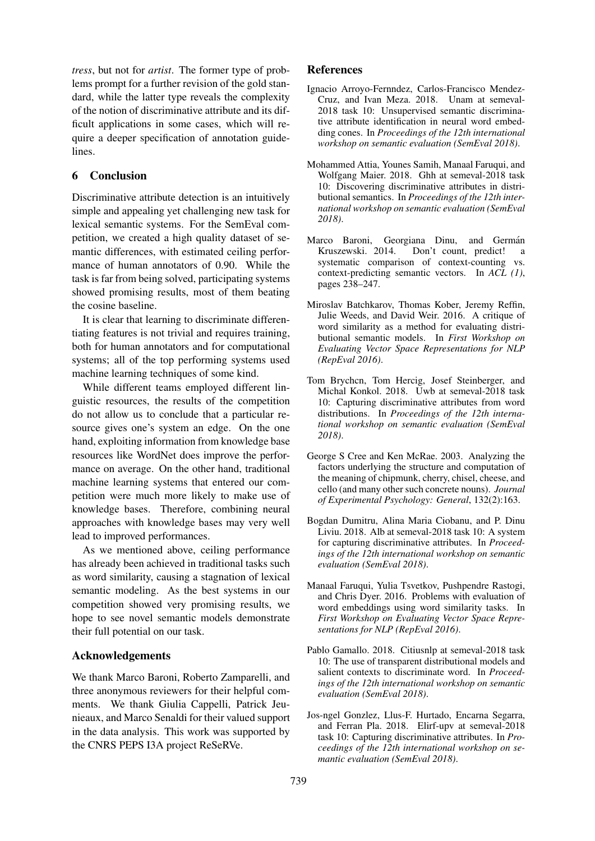*tress*, but not for *artist*. The former type of problems prompt for a further revision of the gold standard, while the latter type reveals the complexity of the notion of discriminative attribute and its difficult applications in some cases, which will require a deeper specification of annotation guidelines.

# 6 Conclusion

Discriminative attribute detection is an intuitively simple and appealing yet challenging new task for lexical semantic systems. For the SemEval competition, we created a high quality dataset of semantic differences, with estimated ceiling performance of human annotators of 0.90. While the task is far from being solved, participating systems showed promising results, most of them beating the cosine baseline.

It is clear that learning to discriminate differentiating features is not trivial and requires training, both for human annotators and for computational systems; all of the top performing systems used machine learning techniques of some kind.

While different teams employed different linguistic resources, the results of the competition do not allow us to conclude that a particular resource gives one's system an edge. On the one hand, exploiting information from knowledge base resources like WordNet does improve the performance on average. On the other hand, traditional machine learning systems that entered our competition were much more likely to make use of knowledge bases. Therefore, combining neural approaches with knowledge bases may very well lead to improved performances.

As we mentioned above, ceiling performance has already been achieved in traditional tasks such as word similarity, causing a stagnation of lexical semantic modeling. As the best systems in our competition showed very promising results, we hope to see novel semantic models demonstrate their full potential on our task.

## Acknowledgements

We thank Marco Baroni, Roberto Zamparelli, and three anonymous reviewers for their helpful comments. We thank Giulia Cappelli, Patrick Jeunieaux, and Marco Senaldi for their valued support in the data analysis. This work was supported by the CNRS PEPS I3A project ReSeRVe.

## References

- Ignacio Arroyo-Fernndez, Carlos-Francisco Mendez-Cruz, and Ivan Meza. 2018. Unam at semeval-2018 task 10: Unsupervised semantic discriminative attribute identification in neural word embedding cones. In *Proceedings of the 12th international workshop on semantic evaluation (SemEval 2018)*.
- Mohammed Attia, Younes Samih, Manaal Faruqui, and Wolfgang Maier. 2018. Ghh at semeval-2018 task 10: Discovering discriminative attributes in distributional semantics. In *Proceedings of the 12th international workshop on semantic evaluation (SemEval 2018)*.
- Marco Baroni, Georgiana Dinu, and Germán Kruszewski. 2014. Don't count, predict! a systematic comparison of context-counting vs. context-predicting semantic vectors. In *ACL (1)*, pages 238–247.
- Miroslav Batchkarov, Thomas Kober, Jeremy Reffin, Julie Weeds, and David Weir. 2016. A critique of word similarity as a method for evaluating distributional semantic models. In *First Workshop on Evaluating Vector Space Representations for NLP (RepEval 2016)*.
- Tom Brychcn, Tom Hercig, Josef Steinberger, and Michal Konkol. 2018. Uwb at semeval-2018 task 10: Capturing discriminative attributes from word distributions. In *Proceedings of the 12th international workshop on semantic evaluation (SemEval 2018)*.
- George S Cree and Ken McRae. 2003. Analyzing the factors underlying the structure and computation of the meaning of chipmunk, cherry, chisel, cheese, and cello (and many other such concrete nouns). *Journal of Experimental Psychology: General*, 132(2):163.
- Bogdan Dumitru, Alina Maria Ciobanu, and P. Dinu Liviu. 2018. Alb at semeval-2018 task 10: A system for capturing discriminative attributes. In *Proceedings of the 12th international workshop on semantic evaluation (SemEval 2018)*.
- Manaal Faruqui, Yulia Tsvetkov, Pushpendre Rastogi, and Chris Dyer. 2016. Problems with evaluation of word embeddings using word similarity tasks. In *First Workshop on Evaluating Vector Space Representations for NLP (RepEval 2016)*.
- Pablo Gamallo. 2018. Citiusnlp at semeval-2018 task 10: The use of transparent distributional models and salient contexts to discriminate word. In *Proceedings of the 12th international workshop on semantic evaluation (SemEval 2018)*.
- Jos-ngel Gonzlez, Llus-F. Hurtado, Encarna Segarra, and Ferran Pla. 2018. Elirf-upv at semeval-2018 task 10: Capturing discriminative attributes. In *Proceedings of the 12th international workshop on semantic evaluation (SemEval 2018)*.